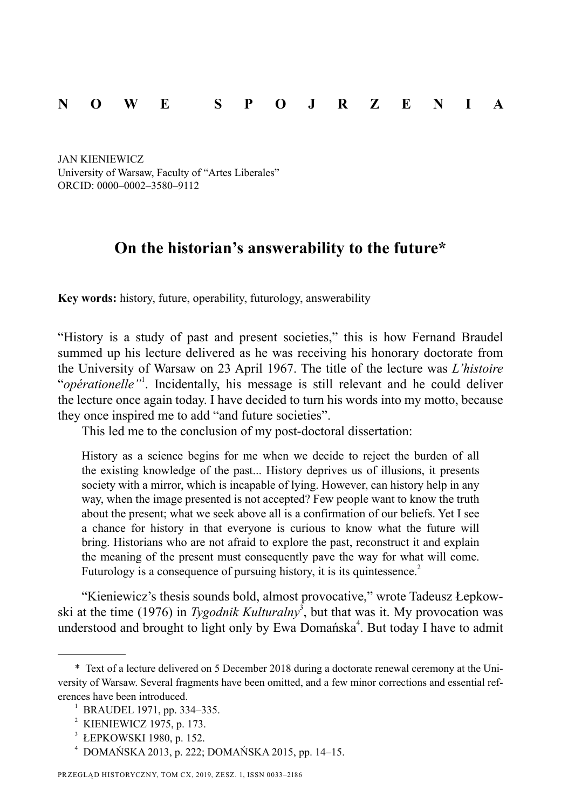## **N O W E S P O J R Z E N I A**

 JAN KIENIEWICZ University of Warsaw, Faculty of "Artes Liberales" ORCID: 0000–0002–3580–9112

## **On the historian's answerability to the future\***

**Key words:** history, future, operability, futurology, answerability

"History is a study of past and present societies," this is how Fernand Braudel summed up his lecture delivered as he was receiving his honorary doctorate from the University of Warsaw on 23 April 1967. The title of the lecture was *L'histoire* "*opérationelle*"<sup>1</sup>. Incidentally, his message is still relevant and he could deliver the lecture once again today. I have decided to turn his words into my motto, because they once inspired me to add "and future societies".

This led me to the conclusion of my post-doctoral dissertation:

History as a science begins for me when we decide to reject the burden of all the existing knowledge of the past... History deprives us of illusions, it presents society with a mirror, which is incapable of lying. However, can history help in any way, when the image presented is not accepted? Few people want to know the truth about the present; what we seek above all is a confirmation of our beliefs. Yet I see a chance for history in that everyone is curious to know what the future will bring. Historians who are not afraid to explore the past, reconstruct it and explain the meaning of the present must consequently pave the way for what will come. Futurology is a consequence of pursuing history, it is its quintessence. $2$ 

"Kieniewicz's thesis sounds bold, almost provocative," wrote Tadeusz Łepkowski at the time (1976) in *Tygodnik Kulturalny*<sup>3</sup>, but that was it. My provocation was understood and brought to light only by Ewa Domańska<sup>4</sup>. But today I have to admit

<sup>\*</sup> Text of a lecture delivered on 5 December 2018 during a doctorate renewal ceremony at the University of Warsaw. Several fragments have been omitted, and a few minor corrections and essential references have been introduced.

<sup>1</sup> BRAUDEL 1971, pp. 334–335.

<sup>2</sup> KIENIEWICZ 1975, p. 173.

<sup>3</sup> ŁEPKOWSKI 1980, p. 152.

<sup>4</sup> DOMAŃSKA 2013, p. 222; DOMAŃSKA 2015, pp. 14–15.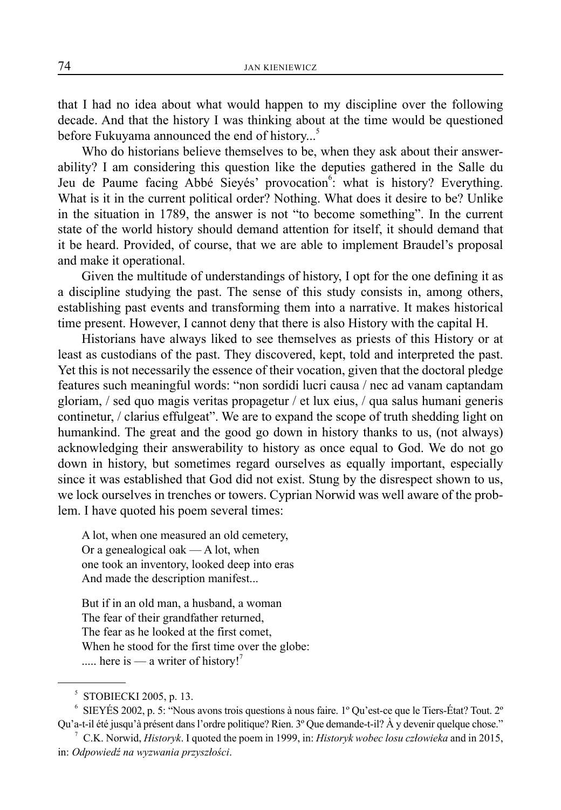that I had no idea about what would happen to my discipline over the following decade. And that the history I was thinking about at the time would be questioned before Fukuyama announced the end of history...<sup>5</sup>

Who do historians believe themselves to be, when they ask about their answerability? I am considering this question like the deputies gathered in the Salle du Jeu de Paume facing Abbé Sieyés' provocation<sup>6</sup>: what is history? Everything. What is it in the current political order? Nothing. What does it desire to be? Unlike in the situation in 1789, the answer is not "to become something". In the current state of the world history should demand attention for itself, it should demand that it be heard. Provided, of course, that we are able to implement Braudel's proposal and make it operational.

Given the multitude of understandings of history, I opt for the one defining it as a discipline studying the past. The sense of this study consists in, among others, establishing past events and transforming them into a narrative. It makes historical time present. However, I cannot deny that there is also History with the capital H.

Historians have always liked to see themselves as priests of this History or at least as custodians of the past. They discovered, kept, told and interpreted the past. Yet this is not necessarily the essence of their vocation, given that the doctoral pledge features such meaningful words: "non sordidi lucri causa / nec ad vanam captandam gloriam, / sed quo magis veritas propagetur / et lux eius, / qua salus humani generis continetur, / clarius effulgeat". We are to expand the scope of truth shedding light on humankind. The great and the good go down in history thanks to us, (not always) acknowledging their answerability to history as once equal to God. We do not go down in history, but sometimes regard ourselves as equally important, especially since it was established that God did not exist. Stung by the disrespect shown to us, we lock ourselves in trenches or towers. Cyprian Norwid was well aware of the problem. I have quoted his poem several times:

A lot, when one measured an old cemetery, Or a genealogical oak — A lot, when one took an inventory, looked deep into eras And made the description manifest...

But if in an old man, a husband, a woman The fear of their grandfather returned, The fear as he looked at the first comet, When he stood for the first time over the globe: ..... here is — a writer of history!'

6 SIEYÉS 2002, p. 5: "Nous avons trois questions à nous faire. 1º Qu'est-ce que le Tiers-État? Tout. 2º Qu'a-t-il été jusqu'à présent dans l'ordre politique? Rien. 3º Que demande-t-il? À y devenir quelque chose."

<sup>5</sup> STOBIECKI 2005, p. 13.

<sup>7</sup> C.K. Norwid, *Historyk*. I quoted the poem in 1999, in: *Historyk wobec losu człowieka* and in 2015, in: *Odpowiedź na wyzwania przyszłości*.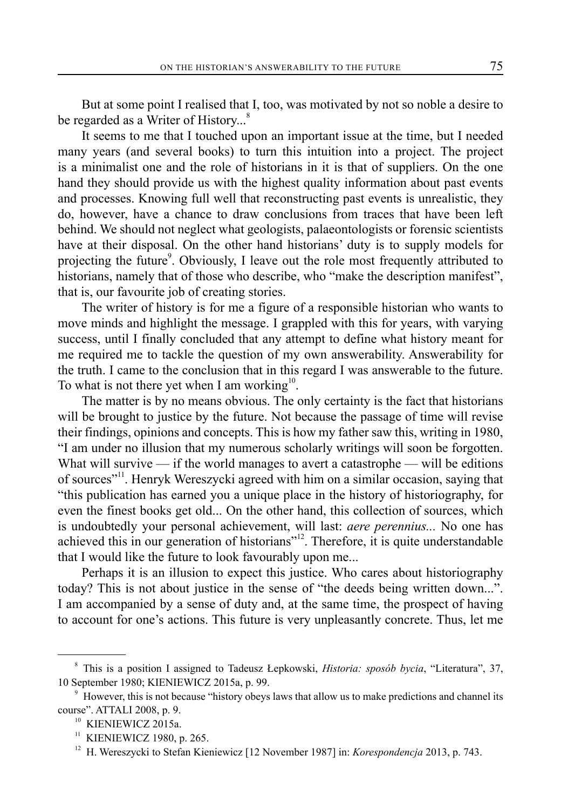But at some point I realised that I, too, was motivated by not so noble a desire to be regarded as a Writer of History...<sup>8</sup>

It seems to me that I touched upon an important issue at the time, but I needed many years (and several books) to turn this intuition into a project. The project is a minimalist one and the role of historians in it is that of suppliers. On the one hand they should provide us with the highest quality information about past events and processes. Knowing full well that reconstructing past events is unrealistic, they do, however, have a chance to draw conclusions from traces that have been left behind. We should not neglect what geologists, palaeontologists or forensic scientists have at their disposal. On the other hand historians' duty is to supply models for projecting the future<sup>9</sup>. Obviously, I leave out the role most frequently attributed to historians, namely that of those who describe, who "make the description manifest", that is, our favourite job of creating stories.

The writer of history is for me a figure of a responsible historian who wants to move minds and highlight the message. I grappled with this for years, with varying success, until I finally concluded that any attempt to define what history meant for me required me to tackle the question of my own answerability. Answerability for the truth. I came to the conclusion that in this regard I was answerable to the future. To what is not there yet when I am working<sup>10</sup>.

The matter is by no means obvious. The only certainty is the fact that historians will be brought to justice by the future. Not because the passage of time will revise their findings, opinions and concepts. This is how my father saw this, writing in 1980, "I am under no illusion that my numerous scholarly writings will soon be forgotten. What will survive — if the world manages to avert a catastrophe — will be editions of sources"11. Henryk Wereszycki agreed with him on a similar occasion, saying that "this publication has earned you a unique place in the history of historiography, for even the finest books get old... On the other hand, this collection of sources, which is undoubtedly your personal achievement, will last: *aere perennius...* No one has achieved this in our generation of historians"<sup>12</sup>. Therefore, it is quite understandable that I would like the future to look favourably upon me...

Perhaps it is an illusion to expect this justice. Who cares about historiography today? This is not about justice in the sense of "the deeds being written down...". I am accompanied by a sense of duty and, at the same time, the prospect of having to account for one's actions. This future is very unpleasantly concrete. Thus, let me

<sup>8</sup> This is a position I assigned to Tadeusz Łepkowski, *Historia: sposób bycia*, "Literatura", 37, 10 September 1980; KIENIEWICZ 2015a, p. 99. 9

<sup>&</sup>lt;sup>9</sup> However, this is not because "history obeys laws that allow us to make predictions and channel its course". ATTALI 2008, p. 9.

<sup>&</sup>lt;sup>10</sup> KIENIEWICZ 2015a.

<sup>&</sup>lt;sup>11</sup> KIENIEWICZ 1980, p. 265.

<sup>&</sup>lt;sup>12</sup> H. Wereszycki to Stefan Kieniewicz [12 November 1987] in: *Korespondencja* 2013, p. 743.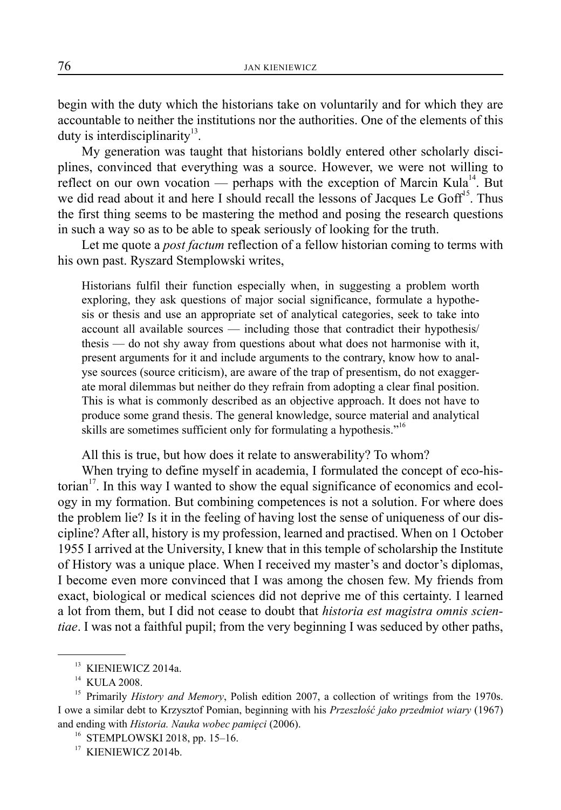begin with the duty which the historians take on voluntarily and for which they are accountable to neither the institutions nor the authorities. One of the elements of this duty is interdisciplinarity<sup>13</sup>.

My generation was taught that historians boldly entered other scholarly disciplines, convinced that everything was a source. However, we were not willing to reflect on our own vocation — perhaps with the exception of Marcin Kula<sup>14</sup>. But we did read about it and here I should recall the lessons of Jacques Le  $Goff<sup>15</sup>$ . Thus the first thing seems to be mastering the method and posing the research questions in such a way so as to be able to speak seriously of looking for the truth.

Let me quote a *post factum* reflection of a fellow historian coming to terms with his own past. Ryszard Stemplowski writes,

Historians fulfil their function especially when, in suggesting a problem worth exploring, they ask questions of major social significance, formulate a hypothesis or thesis and use an appropriate set of analytical categories, seek to take into account all available sources — including those that contradict their hypothesis/ thesis — do not shy away from questions about what does not harmonise with it, present arguments for it and include arguments to the contrary, know how to analyse sources (source criticism), are aware of the trap of presentism, do not exaggerate moral dilemmas but neither do they refrain from adopting a clear final position. This is what is commonly described as an objective approach. It does not have to produce some grand thesis. The general knowledge, source material and analytical skills are sometimes sufficient only for formulating a hypothesis."<sup>16</sup>

All this is true, but how does it relate to answerability? To whom?

When trying to define myself in academia, I formulated the concept of eco-historian<sup>17</sup>. In this way I wanted to show the equal significance of economics and ecology in my formation. But combining competences is not a solution. For where does the problem lie? Is it in the feeling of having lost the sense of uniqueness of our discipline? After all, history is my profession, learned and practised. When on 1 October 1955 I arrived at the University, I knew that in this temple of scholarship the Institute of History was a unique place. When I received my master's and doctor's diplomas, I become even more convinced that I was among the chosen few. My friends from exact, biological or medical sciences did not deprive me of this certainty. I learned a lot from them, but I did not cease to doubt that *historia est magistra omnis scientiae*. I was not a faithful pupil; from the very beginning I was seduced by other paths,

<sup>&</sup>lt;sup>13</sup> KIENIEWICZ 2014a.

<sup>&</sup>lt;sup>14</sup> KULA 2008.

<sup>&</sup>lt;sup>15</sup> Primarily *History and Memory*, Polish edition 2007, a collection of writings from the 1970s. I owe a similar debt to Krzysztof Pomian, beginning with his *Przeszłość jako przedmiot wiary* (1967) and ending with *Historia. Nauka wobec pamięci* (2006).

<sup>&</sup>lt;sup>16</sup> STEMPLOWSKI 2018, pp. 15–16.

<sup>&</sup>lt;sup>17</sup> KIENIEWICZ 2014b.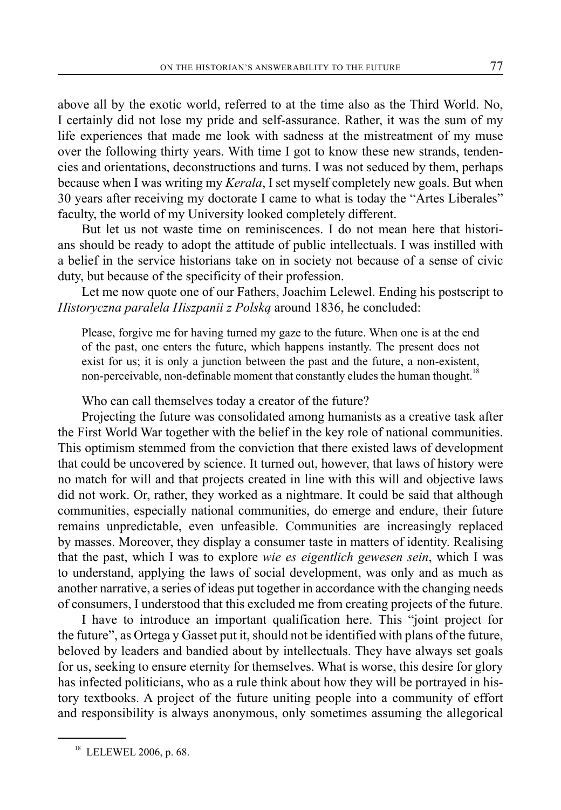above all by the exotic world, referred to at the time also as the Third World. No, I certainly did not lose my pride and self-assurance. Rather, it was the sum of my life experiences that made me look with sadness at the mistreatment of my muse over the following thirty years. With time I got to know these new strands, tendencies and orientations, deconstructions and turns. I was not seduced by them, perhaps because when I was writing my *Kerala*, I set myself completely new goals. But when 30 years after receiving my doctorate I came to what is today the "Artes Liberales" faculty, the world of my University looked completely different.

But let us not waste time on reminiscences. I do not mean here that historians should be ready to adopt the attitude of public intellectuals. I was instilled with a belief in the service historians take on in society not because of a sense of civic duty, but because of the specificity of their profession.

Let me now quote one of our Fathers, Joachim Lelewel. Ending his postscript to *Historyczna paralela Hiszpanii z Polską* around 1836, he concluded:

Please, forgive me for having turned my gaze to the future. When one is at the end of the past, one enters the future, which happens instantly. The present does not exist for us; it is only a junction between the past and the future, a non-existent, non-perceivable, non-definable moment that constantly eludes the human thought.<sup>18</sup>

Who can call themselves today a creator of the future?

Projecting the future was consolidated among humanists as a creative task after the First World War together with the belief in the key role of national communities. This optimism stemmed from the conviction that there existed laws of development that could be uncovered by science. It turned out, however, that laws of history were no match for will and that projects created in line with this will and objective laws did not work. Or, rather, they worked as a nightmare. It could be said that although communities, especially national communities, do emerge and endure, their future remains unpredictable, even unfeasible. Communities are increasingly replaced by masses. Moreover, they display a consumer taste in matters of identity. Realising that the past, which I was to explore *wie es eigentlich gewesen sein*, which I was to understand, applying the laws of social development, was only and as much as another narrative, a series of ideas put together in accordance with the changing needs of consumers, I understood that this excluded me from creating projects of the future.

I have to introduce an important qualification here. This "joint project for the future", as Ortega y Gasset put it, should not be identified with plans of the future, beloved by leaders and bandied about by intellectuals. They have always set goals for us, seeking to ensure eternity for themselves. What is worse, this desire for glory has infected politicians, who as a rule think about how they will be portrayed in history textbooks. A project of the future uniting people into a community of effort and responsibility is always anonymous, only sometimes assuming the allegorical

<sup>&</sup>lt;sup>18</sup> LELEWEL 2006, p. 68.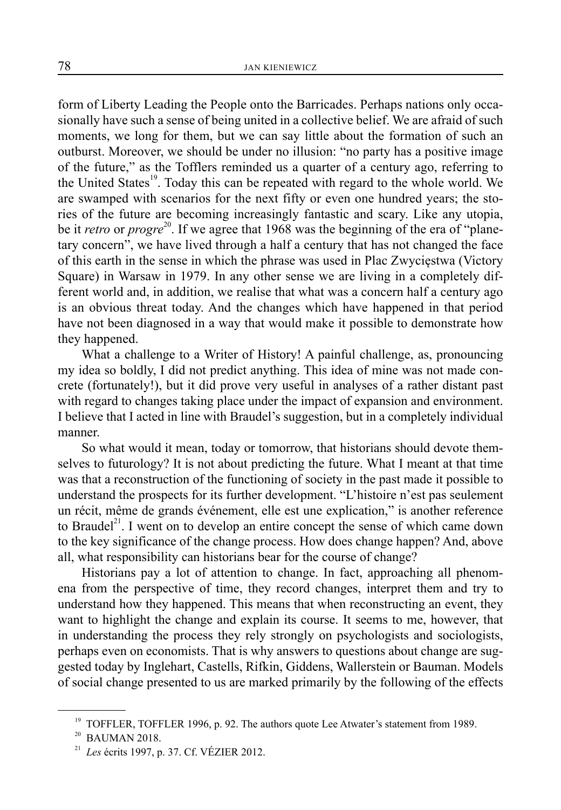form of Liberty Leading the People onto the Barricades. Perhaps nations only occasionally have such a sense of being united in a collective belief. We are afraid of such moments, we long for them, but we can say little about the formation of such an outburst. Moreover, we should be under no illusion: "no party has a positive image of the future," as the Tofflers reminded us a quarter of a century ago, referring to the United States<sup>19</sup>. Today this can be repeated with regard to the whole world. We are swamped with scenarios for the next fifty or even one hundred years; the stories of the future are becoming increasingly fantastic and scary. Like any utopia, be it *retro* or *progre*<sup>20</sup>. If we agree that 1968 was the beginning of the era of "planetary concern", we have lived through a half a century that has not changed the face of this earth in the sense in which the phrase was used in Plac Zwycięstwa (Victory Square) in Warsaw in 1979. In any other sense we are living in a completely different world and, in addition, we realise that what was a concern half a century ago is an obvious threat today. And the changes which have happened in that period have not been diagnosed in a way that would make it possible to demonstrate how they happened.

What a challenge to a Writer of History! A painful challenge, as, pronouncing my idea so boldly, I did not predict anything. This idea of mine was not made concrete (fortunately!), but it did prove very useful in analyses of a rather distant past with regard to changes taking place under the impact of expansion and environment. I believe that I acted in line with Braudel's suggestion, but in a completely individual manner.

So what would it mean, today or tomorrow, that historians should devote themselves to futurology? It is not about predicting the future. What I meant at that time was that a reconstruction of the functioning of society in the past made it possible to understand the prospects for its further development. "L'histoire n'est pas seulement un récit, même de grands événement, elle est une explication," is another reference to Braudel<sup>21</sup>. I went on to develop an entire concept the sense of which came down to the key significance of the change process. How does change happen? And, above all, what responsibility can historians bear for the course of change?

Historians pay a lot of attention to change. In fact, approaching all phenomena from the perspective of time, they record changes, interpret them and try to understand how they happened. This means that when reconstructing an event, they want to highlight the change and explain its course. It seems to me, however, that in understanding the process they rely strongly on psychologists and sociologists, perhaps even on economists. That is why answers to questions about change are suggested today by Inglehart, Castells, Rifkin, Giddens, Wallerstein or Bauman. Models of social change presented to us are marked primarily by the following of the effects

<sup>&</sup>lt;sup>19</sup> TOFFLER, TOFFLER 1996, p. 92. The authors quote Lee Atwater's statement from 1989.

 $20$  BAUMAN 2018.

<sup>21</sup> *Les* écrits 1997, p. 37. Cf. VÉZIER 2012.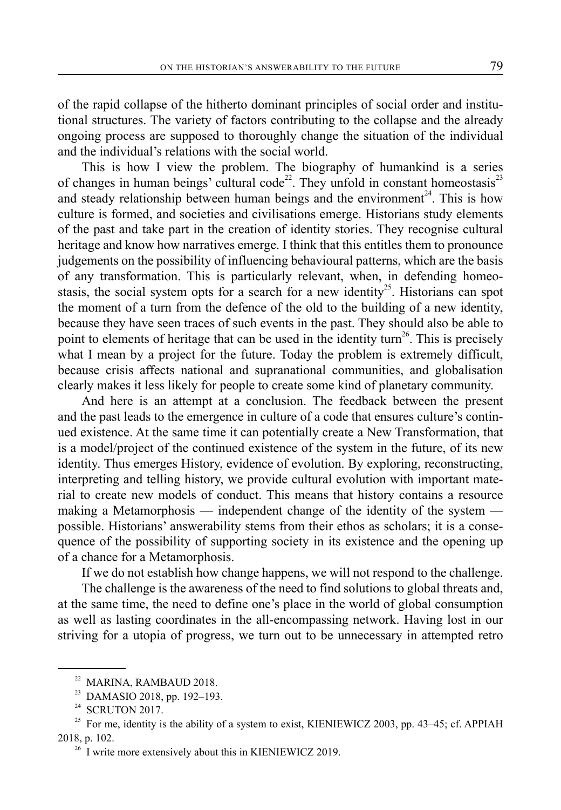of the rapid collapse of the hitherto dominant principles of social order and institutional structures. The variety of factors contributing to the collapse and the already ongoing process are supposed to thoroughly change the situation of the individual and the individual's relations with the social world.

This is how I view the problem. The biography of humankind is a series of changes in human beings' cultural code<sup>22</sup>. They unfold in constant homeostasis<sup>23</sup> and steady relationship between human beings and the environment<sup>24</sup>. This is how culture is formed, and societies and civilisations emerge. Historians study elements of the past and take part in the creation of identity stories. They recognise cultural heritage and know how narratives emerge. I think that this entitles them to pronounce judgements on the possibility of influencing behavioural patterns, which are the basis of any transformation. This is particularly relevant, when, in defending homeostasis, the social system opts for a search for a new identity<sup>25</sup>. Historians can spot the moment of a turn from the defence of the old to the building of a new identity, because they have seen traces of such events in the past. They should also be able to point to elements of heritage that can be used in the identity turn<sup>26</sup>. This is precisely what I mean by a project for the future. Today the problem is extremely difficult, because crisis affects national and supranational communities, and globalisation clearly makes it less likely for people to create some kind of planetary community.

And here is an attempt at a conclusion. The feedback between the present and the past leads to the emergence in culture of a code that ensures culture's continued existence. At the same time it can potentially create a New Transformation, that is a model/project of the continued existence of the system in the future, of its new identity. Thus emerges History, evidence of evolution. By exploring, reconstructing, interpreting and telling history, we provide cultural evolution with important material to create new models of conduct. This means that history contains a resource making a Metamorphosis — independent change of the identity of the system possible. Historians' answerability stems from their ethos as scholars; it is a consequence of the possibility of supporting society in its existence and the opening up of a chance for a Metamorphosis.

If we do not establish how change happens, we will not respond to the challenge.

The challenge is the awareness of the need to find solutions to global threats and, at the same time, the need to define one's place in the world of global consumption as well as lasting coordinates in the all-encompassing network. Having lost in our striving for a utopia of progress, we turn out to be unnecessary in attempted retro

<sup>&</sup>lt;sup>22</sup> MARINA, RAMBAUD 2018.

<sup>23</sup> DAMASIO 2018, pp. 192–193.

 $24$  SCRUTON 2017.

<sup>&</sup>lt;sup>25</sup> For me, identity is the ability of a system to exist, KIENIEWICZ 2003, pp. 43-45; cf. APPIAH 2018, p. 102.

 $26$  I write more extensively about this in KIENIEWICZ 2019.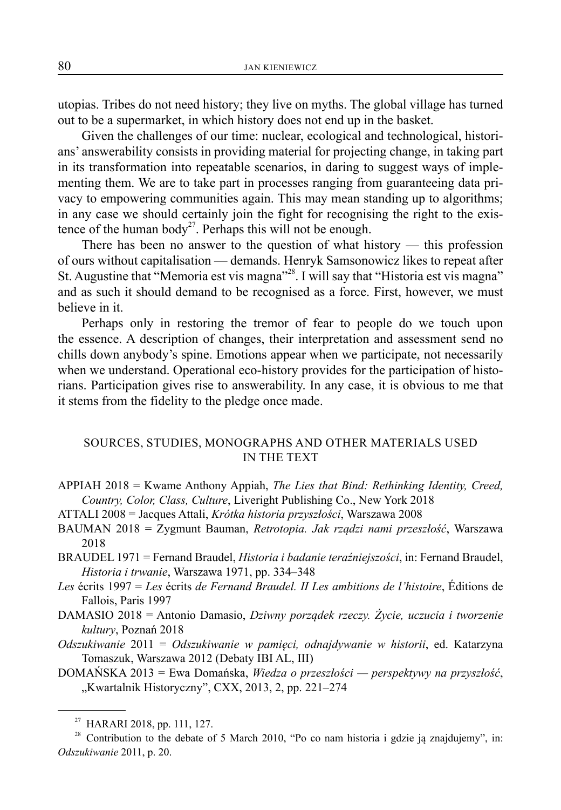utopias. Tribes do not need history; they live on myths. The global village has turned out to be a supermarket, in which history does not end up in the basket.

Given the challenges of our time: nuclear, ecological and technological, historians' answerability consists in providing material for projecting change, in taking part in its transformation into repeatable scenarios, in daring to suggest ways of implementing them. We are to take part in processes ranging from guaranteeing data privacy to empowering communities again. This may mean standing up to algorithms; in any case we should certainly join the fight for recognising the right to the existence of the human body<sup>27</sup>. Perhaps this will not be enough.

There has been no answer to the question of what history — this profession of ours without capitalisation — demands. Henryk Samsonowicz likes to repeat after St. Augustine that "Memoria est vis magna"<sup>28</sup>. I will say that "Historia est vis magna" and as such it should demand to be recognised as a force. First, however, we must believe in it.

Perhaps only in restoring the tremor of fear to people do we touch upon the essence. A description of changes, their interpretation and assessment send no chills down anybody's spine. Emotions appear when we participate, not necessarily when we understand. Operational eco-history provides for the participation of historians. Participation gives rise to answerability. In any case, it is obvious to me that it stems from the fidelity to the pledge once made.

## SOURCES, STUDIES, MONOGRAPHS AND OTHER MATERIALS USED IN THE TEXT

- APPIAH 2018 = Kwame Anthony Appiah, *The Lies that Bind: Rethinking Identity, Creed, Country, Color, Class, Culture*, Liveright Publishing Co., New York 2018
- ATTALI 2008 = Jacques Attali, *Krótka historia przyszłości*, Warszawa 2008
- BAUMAN 2018 = Zygmunt Bauman, *Retrotopia. Jak rządzi nami przeszłość*, Warszawa 2018
- BRAUDEL 1971 = Fernand Braudel, *Historia i badanie teraźniejszości*, in: Fernand Braudel, *Historia i trwanie*, Warszawa 1971, pp. 334–348
- *Les* écrits 1997 = *Les* écrits *de Fernand Braudel. II Les ambitions de l'histoire*, Éditions de Fallois, Paris 1997
- DAMASIO 2018 = Antonio Damasio, *Dziwny porządek rzeczy. Życie, uczucia i tworzenie kultury*, Poznań 2018
- *Odszukiwanie* 2011 = *Odszukiwanie w pamięci, odnajdywanie w historii*, ed. Katarzyna Tomaszuk, Warszawa 2012 (Debaty IBI AL, III)
- DOMAŃSKA 2013 = Ewa Domańska, *Wiedza o przeszłości perspektywy na przyszłość*, "Kwartalnik Historyczny", CXX, 2013, 2, pp. 221-274

<sup>27</sup> HARARI 2018, pp. 111, 127.

<sup>&</sup>lt;sup>28</sup> Contribution to the debate of 5 March 2010, "Po co nam historia i gdzie ją znajdujemy", in: *Odszukiwanie* 2011, p. 20.